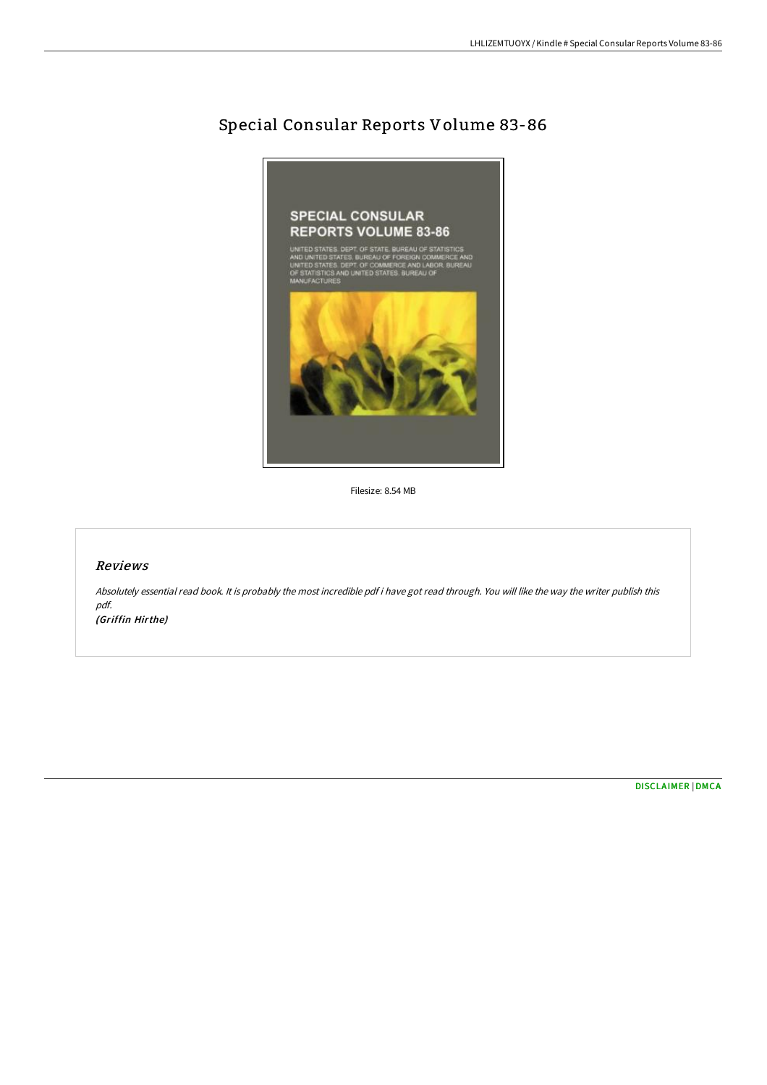## Special Consular Reports Volume 83-86



Filesize: 8.54 MB

## Reviews

Absolutely essential read book. It is probably the most incredible pdf i have got read through. You will like the way the writer publish this pdf. (Griffin Hirthe)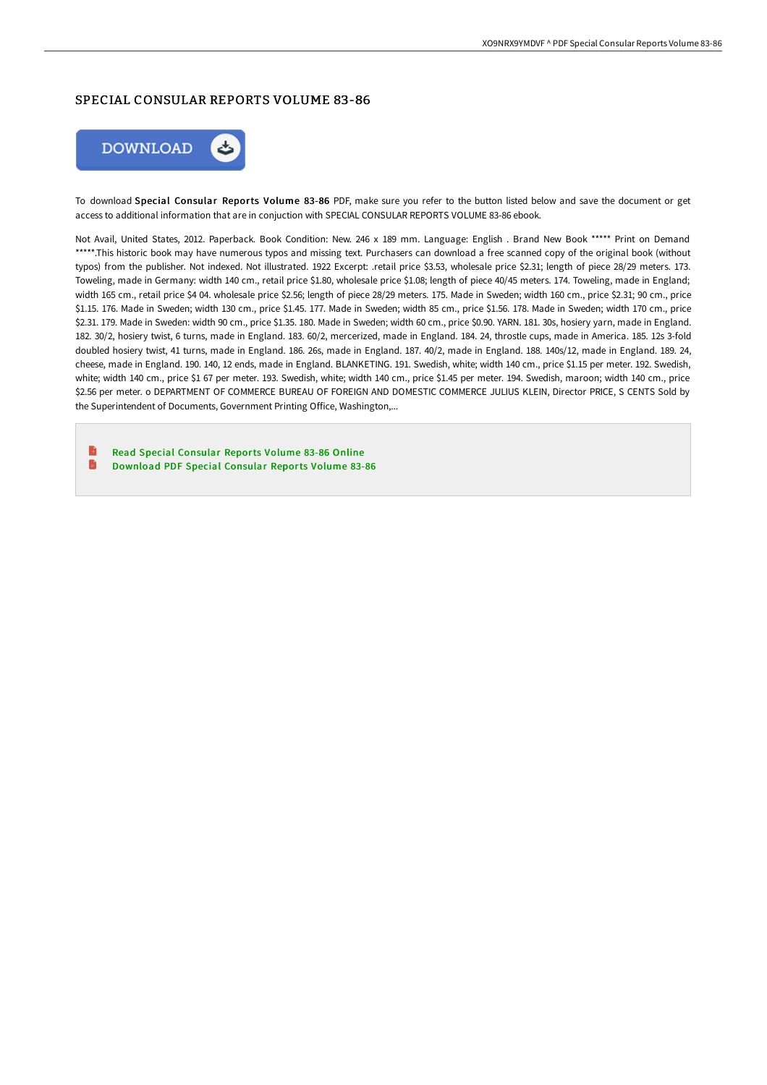## SPECIAL CONSULAR REPORTS VOLUME 83-86



To download Special Consular Reports Volume 83-86 PDF, make sure you refer to the button listed below and save the document or get access to additional information that are in conjuction with SPECIAL CONSULAR REPORTS VOLUME 83-86 ebook.

Not Avail, United States, 2012. Paperback. Book Condition: New. 246 x 189 mm. Language: English . Brand New Book \*\*\*\*\* Print on Demand \*\*\*\*\*.This historic book may have numerous typos and missing text. Purchasers can download a free scanned copy of the original book (without typos) from the publisher. Not indexed. Not illustrated. 1922 Excerpt: .retail price \$3.53, wholesale price \$2.31; length of piece 28/29 meters. 173. Toweling, made in Germany: width 140 cm., retail price \$1.80, wholesale price \$1.08; length of piece 40/45 meters. 174. Toweling, made in England; width 165 cm., retail price \$4 04. wholesale price \$2.56; length of piece 28/29 meters. 175. Made in Sweden; width 160 cm., price \$2.31; 90 cm., price \$1.15. 176. Made in Sweden; width 130 cm., price \$1.45. 177. Made in Sweden; width 85 cm., price \$1.56. 178. Made in Sweden; width 170 cm., price \$2.31. 179. Made in Sweden: width 90 cm., price \$1.35. 180. Made in Sweden; width 60 cm., price \$0.90. YARN. 181. 30s, hosiery yarn, made in England. 182. 30/2, hosiery twist, 6 turns, made in England. 183. 60/2, mercerized, made in England. 184. 24, throstle cups, made in America. 185. 12s 3-fold doubled hosiery twist, 41 turns, made in England. 186. 26s, made in England. 187. 40/2, made in England. 188. 140s/12, made in England. 189. 24, cheese, made in England. 190. 140, 12 ends, made in England. BLANKETING. 191. Swedish, white; width 140 cm., price \$1.15 per meter. 192. Swedish, white; width 140 cm., price \$1 67 per meter. 193. Swedish, white; width 140 cm., price \$1.45 per meter. 194. Swedish, maroon; width 140 cm., price \$2.56 per meter. o DEPARTMENT OF COMMERCE BUREAU OF FOREIGN AND DOMESTIC COMMERCE JULIUS KLEIN, Director PRICE, S CENTS Sold by the Superintendent of Documents, Government Printing Office, Washington,...

Read Special [Consular](http://techno-pub.tech/special-consular-reports-volume-83-86-paperback.html) Reports Volume 83-86 Online  $\blacksquare$ 

[Download](http://techno-pub.tech/special-consular-reports-volume-83-86-paperback.html) PDF Special Consular Reports Volume 83-86